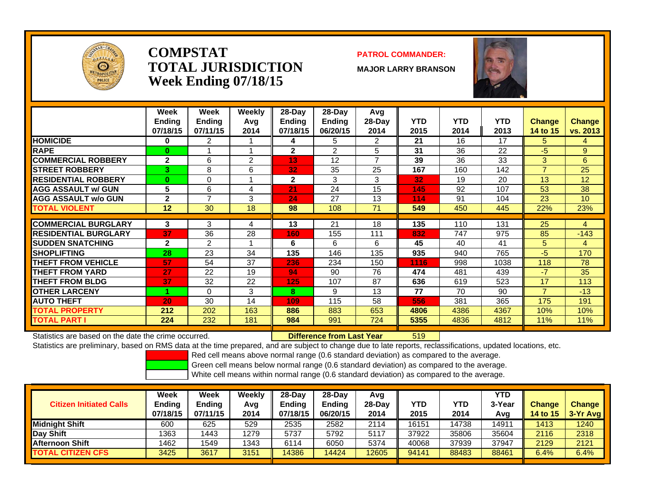

### **COMPSTATTOTAL JURISDICTIONWeek Ending 07/18/15**

### **PATROL COMMANDER:**

**MAJOR LARRY BRANSON**



|                             | Week<br><b>Ending</b><br>07/18/15 | Week<br><b>Endina</b><br>07/11/15 | Weekly<br>Avg<br>2014 | 28-Day<br><b>Ending</b><br>07/18/15 | $28$ -Day<br>Ending<br>06/20/15 | Avg<br>$28-Day$<br>2014 | <b>YTD</b><br>2015 | <b>YTD</b><br>2014 | <b>YTD</b><br>2013 | <b>Change</b><br>14 to 15 | <b>Change</b><br>vs. 2013 |
|-----------------------------|-----------------------------------|-----------------------------------|-----------------------|-------------------------------------|---------------------------------|-------------------------|--------------------|--------------------|--------------------|---------------------------|---------------------------|
| <b>HOMICIDE</b>             | 0                                 | 2                                 |                       | 4                                   | 5                               | 2                       | 21                 | 16                 | 17                 | 5.                        | 4                         |
| <b>RAPE</b>                 | $\bf{0}$                          |                                   |                       | $\mathbf{2}$                        | 2                               | 5                       | 31                 | 36                 | 22                 | -5                        | $9^{\circ}$               |
| <b>COMMERCIAL ROBBERY</b>   | $\mathbf{2}$                      | 6                                 | 2                     | 13                                  | 12                              | $\overline{ }$          | 39                 | 36                 | 33                 | 3                         | 6                         |
| <b>STREET ROBBERY</b>       | 3                                 | 8                                 | 6                     | 32                                  | 35                              | 25                      | 167                | 160                | 142                | $\overline{7}$            | 25                        |
| <b>RESIDENTIAL ROBBERY</b>  | $\bf{0}$                          | $\Omega$                          |                       | $\mathbf{2}$                        | 3                               | 3                       | 32                 | 19                 | 20                 | 13                        | 12                        |
| <b>AGG ASSAULT w/ GUN</b>   | 5                                 | 6                                 | 4                     | 21                                  | 24                              | 15                      | 145                | 92                 | 107                | 53                        | 38                        |
| <b>AGG ASSAULT w/o GUN</b>  | $\mathbf{2}$                      | $\overline{7}$                    | 3                     | 24                                  | 27                              | 13                      | 114                | 91                 | 104                | 23                        | 10                        |
| <b>TOTAL VIOLENT</b>        | 12                                | 30                                | 18                    | 98                                  | 108                             | 71                      | 549                | 450                | 445                | 22%                       | 23%                       |
|                             |                                   |                                   |                       |                                     |                                 |                         |                    |                    |                    |                           |                           |
| <b>COMMERCIAL BURGLARY</b>  | 3                                 | 3                                 | 4                     | 13                                  | 21                              | 18                      | 135                | 110                | 131                | 25                        | 4                         |
| <b>RESIDENTIAL BURGLARY</b> | 37                                | 36                                | 28                    | 160                                 | 155                             | 111                     | 832                | 747                | 975                | 85                        | $-143$                    |
| <b>SUDDEN SNATCHING</b>     | $\mathbf{2}$                      | 2                                 |                       | 6                                   | 6                               | 6                       | 45                 | 40                 | 41                 | 5                         | 4                         |
| <b>SHOPLIFTING</b>          | 28                                | 23                                | 34                    | 135                                 | 146                             | 135                     | 935                | 940                | 765                | $-5$                      | 170                       |
| <b>THEFT FROM VEHICLE</b>   | 57                                | 54                                | 37                    | 236                                 | 234                             | 150                     | 1116               | 998                | 1038               | 118                       | 78                        |
| <b>THEFT FROM YARD</b>      | 27                                | 22                                | 19                    | 94                                  | 90                              | 76                      | 474                | 481                | 439                | $-7$                      | 35                        |
| <b>THEFT FROM BLDG</b>      | 37                                | 32                                | 22                    | 125                                 | 107                             | 87                      | 636                | 619                | 523                | 17                        | 113                       |
| <b>IOTHER LARCENY</b>       |                                   | $\Omega$                          | 3                     | 8                                   | 9                               | 13                      | 77                 | 70                 | 90                 | $\overline{7}$            | $-13$                     |
| <b>AUTO THEFT</b>           | 20                                | 30                                | 14                    | 109                                 | 115                             | 58                      | 556                | 381                | 365                | 175                       | 191                       |
| <b>TOTAL PROPERTY</b>       | 212                               | 202                               | 163                   | 886                                 | 883                             | 653                     | 4806               | 4386               | 4367               | 10%                       | 10%                       |
| TOTAL PART I                | 224                               | 232                               | 181                   | 984                                 | 991                             | 724                     | 5355               | 4836               | 4812               | 11%                       | 11%                       |

Statistics are based on the date the crime occurred. **Difference from Last Year** 

519

Statistics are preliminary, based on RMS data at the time prepared, and are subject to change due to late reports, reclassifications, updated locations, etc.

Red cell means above normal range (0.6 standard deviation) as compared to the average.

Green cell means below normal range (0.6 standard deviation) as compared to the average.

| <b>Citizen Initiated Calls</b> | Week<br><b>Ending</b><br>07/18/15 | Week<br><b>Ending</b><br>07/11/15 | Weekly<br>Avq<br>2014 | 28-Dav<br>Ending<br>07/18/15 | 28-Dav<br><b>Ending</b><br>06/20/15 | Avg<br>$28-Dav$<br>2014 | <b>YTD</b><br>2015 | YTD<br>2014 | YTD.<br>3-Year<br>Avg | <b>Change</b><br><b>14 to 15</b> | <b>Change</b><br>$3-Yr$ Avg |
|--------------------------------|-----------------------------------|-----------------------------------|-----------------------|------------------------------|-------------------------------------|-------------------------|--------------------|-------------|-----------------------|----------------------------------|-----------------------------|
| <b>I</b> Midniaht Shift        | 600                               | 625                               | 529                   | 2535                         | 2582                                | 2114                    | 16151              | 14738       | 14911                 | 1413                             | 1240                        |
| Day Shift                      | 1363                              | 1443                              | 1279                  | 5737                         | 5792                                | 5117                    | 37922              | 35806       | 35604                 | 2116                             | 2318                        |
| Afternoon Shift                | 1462                              | 1549                              | 1343                  | 6114                         | 6050                                | 5374                    | 40068              | 37939       | 37947                 | 2129                             | 2121                        |
| <b>TOTAL CITIZEN CFS</b>       | 3425                              | 3617                              | 3151                  | 14386                        | 4424                                | 12605                   | 94141              | 88483       | 88461                 | 6.4%                             | 6.4%                        |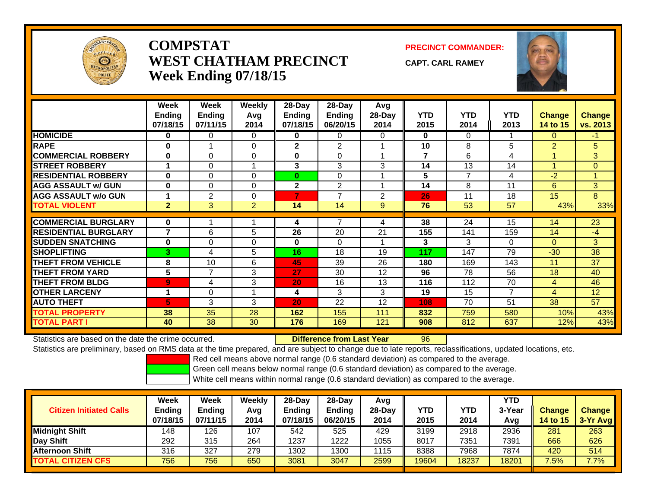

## **COMPSTATWEST CHATHAM PRECINCTWeek Ending 07/18/15**

**PRECINCT COMMANDER:**

**CAPT. CARL RAMEY**

96



|                             | Week           | Week           | <b>Weekly</b>  | 28-Day        | 28-Day         | Avg            |            |                |                |                |                 |
|-----------------------------|----------------|----------------|----------------|---------------|----------------|----------------|------------|----------------|----------------|----------------|-----------------|
|                             | <b>Ending</b>  | <b>Ending</b>  | Avg            | <b>Ending</b> | <b>Ending</b>  | 28-Day         | <b>YTD</b> | <b>YTD</b>     | <b>YTD</b>     | Change         | <b>Change</b>   |
|                             | 07/18/15       | 07/11/15       | 2014           | 07/18/15      | 06/20/15       | 2014           | 2015       | 2014           | 2013           | 14 to 15       | vs. 2013        |
| <b>HOMICIDE</b>             | 0              | 0              | 0              | 0             | 0              | 0              | 0          | 0              |                | 0              | $-1$            |
| <b>RAPE</b>                 | 0              |                | $\Omega$       | 2             | 2              |                | 10         | 8              | 5              | $\overline{2}$ | 5               |
| <b>COMMERCIAL ROBBERY</b>   | $\bf{0}$       | 0              | $\Omega$       | 0             | 0              |                | 7          | 6              | 4              |                | 3               |
| <b>STREET ROBBERY</b>       |                | 0              | 1              | 3             | 3              | 3              | 14         | 13             | 14             |                | $\overline{0}$  |
| <b>RESIDENTIAL ROBBERY</b>  | $\bf{0}$       | 0              | $\Omega$       | 0             | $\Omega$       |                | 5          | $\overline{7}$ | 4              | $-2$           |                 |
| <b>AGG ASSAULT w/ GUN</b>   | $\bf{0}$       | 0              | $\Omega$       | $\mathbf{2}$  | $\overline{2}$ |                | 14         | 8              | 11             | 6              | 3               |
| <b>AGG ASSAULT w/o GUN</b>  |                | $\overline{2}$ | 0              | 7             | $\overline{7}$ | $\overline{2}$ | 26         | 11             | 18             | 15             | 8               |
| <b>TOTAL VIOLENT</b>        | $\overline{2}$ | 3              | $\overline{2}$ | 14            | 14             | 9              | 76         | 53             | 57             | 43%            | 33%             |
|                             |                |                |                |               | 7              |                |            |                |                |                |                 |
| <b>COMMERCIAL BURGLARY</b>  | $\bf{0}$       |                |                | 4             |                | 4              | 38         | 24             | 15             | 14             | $\overline{23}$ |
| <b>RESIDENTIAL BURGLARY</b> | 7              | 6              | 5              | 26            | 20             | 21             | 155        | 141            | 159            | 14             | $-4$            |
| <b>SUDDEN SNATCHING</b>     | 0              | 0              | $\Omega$       | 0             | $\Omega$       |                | 3          | 3              | $\Omega$       | $\Omega$       | 3               |
| <b>SHOPLIFTING</b>          | 3              | 4              | 5              | 16            | 18             | 19             | 117        | 147            | 79             | $-30$          | 38              |
| <b>THEFT FROM VEHICLE</b>   | 8              | 10             | 6              | 45            | 39             | 26             | 180        | 169            | 143            | 11             | 37              |
| <b>THEFT FROM YARD</b>      | 5              | 7              | 3              | 27            | 30             | 12             | 96         | 78             | 56             | 18             | 40              |
| <b>THEFT FROM BLDG</b>      | 9              | 4              | 3              | 20            | 16             | 13             | 116        | 112            | 70             | $\overline{4}$ | 46              |
| <b>OTHER LARCENY</b>        | 1              | 0              | 1              | 4             | 3              | 3              | 19         | 15             | $\overline{7}$ | 4              | 12              |
| <b>AUTO THEFT</b>           | 5.             | 3              | 3              | 20            | 22             | 12             | 108        | 70             | 51             | 38             | 57              |
| <b>TOTAL PROPERTY</b>       | 38             | 35             | 28             | 162           | 155            | 111            | 832        | 759            | 580            | 10%            | 43%             |
| <b>TOTAL PART I</b>         | 40             | 38             | 30             | 176           | 169            | 121            | 908        | 812            | 637            | 12%            | 43%             |

Statistics are based on the date the crime occurred. **Difference from Last Year** 

Statistics are preliminary, based on RMS data at the time prepared, and are subject to change due to late reports, reclassifications, updated locations, etc.

Red cell means above normal range (0.6 standard deviation) as compared to the average.

Green cell means below normal range (0.6 standard deviation) as compared to the average.

| <b>Citizen Initiated Calls</b> | Week<br>Ending<br>07/18/15 | <b>Week</b><br>Ending<br>07/11/15 | Weekly<br>Avg<br>2014 | $28$ -Day<br>Ending<br>07/18/15 | $28-Dav$<br><b>Ending</b><br>06/20/15 | Avq<br>$28-Dav$<br>2014 | YTD<br>2015 | YTD<br>2014 | <b>YTD</b><br>3-Year<br>Avg | <b>Change</b><br><b>14 to 15</b> | <b>Change</b><br>3-Yr Avg |
|--------------------------------|----------------------------|-----------------------------------|-----------------------|---------------------------------|---------------------------------------|-------------------------|-------------|-------------|-----------------------------|----------------------------------|---------------------------|
| Midnight Shift                 | 148                        | 126                               | 107                   | 542                             | 525                                   | 429                     | 3199        | 2918        | 2936                        | 281                              | 263                       |
| Day Shift                      | 292                        | 315                               | 264                   | 1237                            | 1222                                  | 1055                    | 8017        | 7351        | 7391                        | 666                              | 626                       |
| <b>Afternoon Shift</b>         | 316                        | 327                               | 279                   | 1302                            | 1300                                  | 1115                    | 8388        | 7968        | 7874                        | 420                              | 514                       |
| <b>TOTAL CITIZEN CFS</b>       | 756                        | 756                               | 650                   | 3081                            | 3047                                  | 2599                    | 19604       | 18237       | 18201                       | 7.5%                             | 7.7%                      |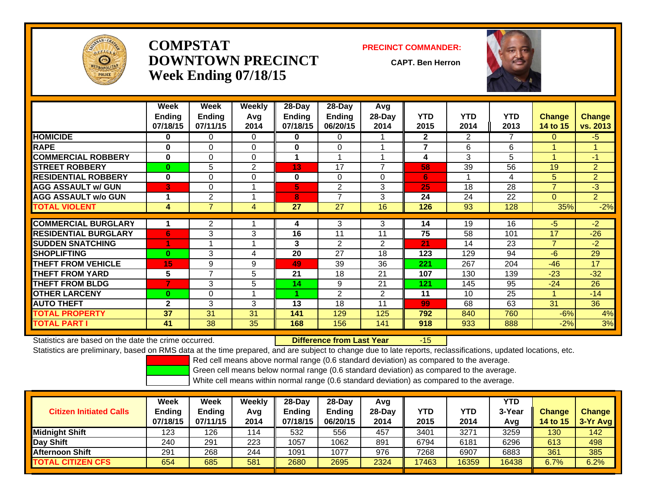

## **COMPSTATDOWNTOWN PRECINCTWeek Ending 07/18/15**

#### **PRECINCT COMMANDER:**

**CAPT. Ben Herron**

-15



|                             | Week          | <b>Week</b>    | <b>Weekly</b> | 28-Day   | 28-Day         | Avg            |                         |            |            |                |                |
|-----------------------------|---------------|----------------|---------------|----------|----------------|----------------|-------------------------|------------|------------|----------------|----------------|
|                             | <b>Ending</b> | <b>Ending</b>  | Avg           | Ending   | Ending         | 28-Day         | <b>YTD</b>              | <b>YTD</b> | <b>YTD</b> | <b>Change</b>  | <b>Change</b>  |
|                             | 07/18/15      | 07/11/15       | 2014          | 07/18/15 | 06/20/15       | 2014           | 2015                    | 2014       | 2013       | 14 to 15       | vs. 2013       |
| <b>HOMICIDE</b>             | 0             | 0              | 0             | 0        | $\Omega$       |                | $\mathbf{2}$            | 2          | 7          | 0              | -5             |
| <b>RAPE</b>                 | $\bf{0}$      | $\Omega$       | $\Omega$      | 0        | $\Omega$       |                | $\overline{\mathbf{z}}$ | 6          | 6          |                |                |
| <b>COMMERCIAL ROBBERY</b>   | 0             | $\Omega$       | $\Omega$      |          | 1              |                | 4                       | 3          | 5          |                | $-1$           |
| <b>STREET ROBBERY</b>       | $\bf{0}$      | 5              | 2             | 13       | 17             | 7              | 58                      | 39         | 56         | 19             | $\overline{2}$ |
| <b>RESIDENTIAL ROBBERY</b>  | $\bf{0}$      | $\Omega$       | $\Omega$      | 0        | $\Omega$       | 0              | 6                       |            | 4          | 5              | $\overline{2}$ |
| <b>AGG ASSAULT w/ GUN</b>   | 3             | $\Omega$       |               | 5        | 2              | 3              | 25                      | 18         | 28         | $\overline{7}$ | $-3$           |
| <b>AGG ASSAULT w/o GUN</b>  | 1             | 2              |               | 8        | 7              | 3              | 24                      | 24         | 22         | 0              | $\overline{2}$ |
| <b>TOTAL VIOLENT</b>        | 4             | $\overline{7}$ | 4             | 27       | 27             | 16             | 126                     | 93         | 128        | 35%            | $-2%$          |
|                             |               |                |               |          |                |                |                         |            |            |                |                |
| <b>COMMERCIAL BURGLARY</b>  |               | 2              |               | 4        | 3              | 3              | 14                      | 19         | 16         | $-5$           | $-2$           |
| <b>RESIDENTIAL BURGLARY</b> | 6             | 3              | 3             | 16       | 11             | 11             | 75                      | 58         | 101        | 17             | $-26$          |
| <b>SUDDEN SNATCHING</b>     |               |                |               | 3        | $\overline{2}$ | $\overline{2}$ | 21                      | 14         | 23         | $\overline{7}$ | $-2$           |
| <b>SHOPLIFTING</b>          | $\bf{0}$      | 3              | 4             | 20       | 27             | 18             | 123                     | 129        | 94         | $-6$           | 29             |
| <b>THEFT FROM VEHICLE</b>   | 15            | 9              | 9             | 49       | 39             | 36             | 221                     | 267        | 204        | $-46$          | 17             |
| <b>THEFT FROM YARD</b>      | 5             | 7              | 5             | 21       | 18             | 21             | 107                     | 130        | 139        | $-23$          | $-32$          |
| <b>THEFT FROM BLDG</b>      | 7             | 3              | 5             | 14       | 9              | 21             | 121                     | 145        | 95         | $-24$          | 26             |
| <b>OTHER LARCENY</b>        | 0             | $\Omega$       | 1             |          | $\overline{2}$ | $\overline{2}$ | 11                      | 10         | 25         | 4              | $-14$          |
| <b>AUTO THEFT</b>           | $\mathbf{2}$  | 3              | 3             | 13       | 18             | 11             | 99                      | 68         | 63         | 31             | 36             |
| <b>TOTAL PROPERTY</b>       | 37            | 31             | 31            | 141      | 129            | 125            | 792                     | 840        | 760        | $-6%$          | 4%             |
| <b>TOTAL PART I</b>         | 41            | 38             | 35            | 168      | 156            | 141            | 918                     | 933        | 888        | $-2%$          | 3%             |

Statistics are based on the date the crime occurred. **Difference from Last Year** 

Statistics are preliminary, based on RMS data at the time prepared, and are subject to change due to late reports, reclassifications, updated locations, etc.

Red cell means above normal range (0.6 standard deviation) as compared to the average.

Green cell means below normal range (0.6 standard deviation) as compared to the average.

| <b>Citizen Initiated Calls</b> | Week<br><b>Ending</b><br>07/18/15 | Week<br><b>Ending</b><br>07/11/15 | Weekly<br>Avg<br>2014 | $28-Dav$<br>Ending<br>07/18/15 | $28-Day$<br><b>Ending</b><br>06/20/15 | Avg<br>28-Day<br>2014 | YTD<br>2015 | <b>YTD</b><br>2014 | YTD<br>3-Year<br>Avg | <b>Change</b><br>14 to $151$ | <b>Change</b><br>3-Yr Avg |
|--------------------------------|-----------------------------------|-----------------------------------|-----------------------|--------------------------------|---------------------------------------|-----------------------|-------------|--------------------|----------------------|------------------------------|---------------------------|
| Midnight Shift                 | 123                               | 126                               | 114                   | 532                            | 556                                   | 457                   | 3401        | 3271               | 3259                 | 130                          | 142                       |
| Day Shift                      | 240                               | 291                               | 223                   | 1057                           | 1062                                  | 891                   | 6794        | 6181               | 6296                 | 613                          | 498                       |
| <b>Afternoon Shift</b>         | 291                               | 268                               | 244                   | 1091                           | 1077                                  | 976                   | 7268        | 6907               | 6883                 | 361                          | 385                       |
| <b>TOTAL CITIZEN CFS</b>       | 654                               | 685                               | 581                   | 2680                           | 2695                                  | 2324                  | 17463       | 16359              | 16438                | 6.7%                         | 6.2%                      |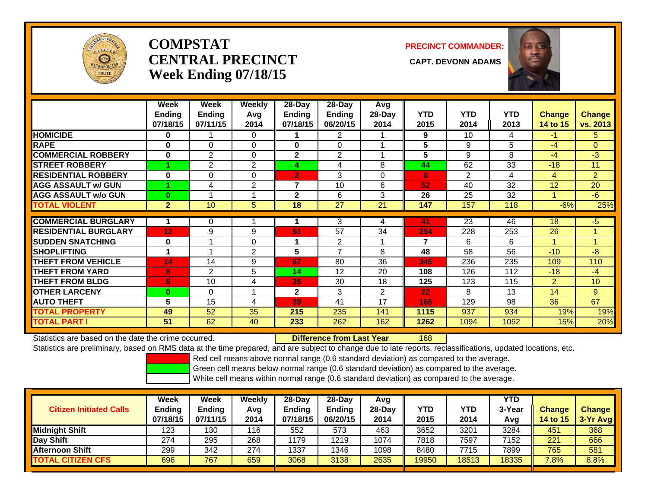

# **COMPSTATCENTRAL PRECINCT CAPT. DEVONN ADAMSWeek Ending 07/18/15**

**PRECINCT COMMANDER:**



|                             | Week<br><b>Ending</b><br>07/18/15 | Week<br><b>Ending</b><br>07/11/15 | Weekly<br>Avg<br>2014 | $28-Day$<br><b>Ending</b><br>07/18/15 | 28-Day<br><b>Ending</b><br>06/20/15 | Avg<br>28-Day<br>2014 | <b>YTD</b><br>2015 | <b>YTD</b><br>2014 | <b>YTD</b><br>2013 | <b>Change</b><br>14 to 15 | <b>Change</b><br>vs. 2013 |
|-----------------------------|-----------------------------------|-----------------------------------|-----------------------|---------------------------------------|-------------------------------------|-----------------------|--------------------|--------------------|--------------------|---------------------------|---------------------------|
| <b>HOMICIDE</b>             | 0                                 |                                   | 0                     |                                       | $\overline{2}$                      |                       | 9                  | 10                 | 4                  | $-1$                      | 5.                        |
| <b>RAPE</b>                 | 0                                 | $\Omega$                          | $\Omega$              | $\mathbf{0}$                          | $\Omega$                            |                       | 5                  | 9                  | 5                  | $-4$                      | $\Omega$                  |
| <b>COMMERCIAL ROBBERY</b>   | $\bf{0}$                          | 2                                 | $\Omega$              | $\mathbf{2}$                          | $\overline{2}$                      |                       | 5                  | 9                  | 8                  | $-4$                      | $-3$                      |
| <b>STREET ROBBERY</b>       |                                   | 2                                 | 2                     | 4                                     | 4                                   | 8                     | 44                 | 62                 | 33                 | $-18$                     | 11                        |
| <b>RESIDENTIAL ROBBERY</b>  | $\bf{0}$                          | $\Omega$                          | $\Omega$              | $\overline{2}$                        | 3                                   | $\Omega$              | 6                  | $\overline{2}$     | 4                  | 4                         | $\overline{2}$            |
| <b>AGG ASSAULT w/ GUN</b>   |                                   | 4                                 | 2                     | 7                                     | 10                                  | 6                     | 52                 | 40                 | 32                 | 12                        | 20                        |
| <b>AGG ASSAULT w/o GUN</b>  | $\bf{0}$                          |                                   |                       | $\mathbf{2}$                          | 6                                   | 3                     | 26                 | 25                 | 32                 |                           | $-6$                      |
| <b>TOTAL VIOLENT</b>        | $\mathbf{2}$                      | 10                                | 5                     | $\overline{18}$                       | $\overline{27}$                     | $\overline{21}$       | 147                | 157                | 118                | $-6%$                     | 25%                       |
|                             |                                   |                                   |                       |                                       |                                     |                       |                    |                    |                    |                           |                           |
| <b>COMMERCIAL BURGLARY</b>  |                                   | 0                                 |                       |                                       | 3                                   | 4                     | 41                 | 23                 | 46                 | 18                        | $-5$                      |
| <b>RESIDENTIAL BURGLARY</b> | 12 <sub>2</sub>                   | 9                                 | 9                     | 51                                    | 57                                  | 34                    | 254                | 228                | 253                | 26                        | 1                         |
| <b>SUDDEN SNATCHING</b>     | 0                                 | $\overline{A}$                    | $\mathbf 0$           | 1                                     | 2                                   |                       | 7                  | 6                  | 6                  | 1                         |                           |
| <b>SHOPLIFTING</b>          | 1                                 |                                   | 2                     | 5                                     | $\overline{7}$                      | 8                     | 48                 | 58                 | 56                 | $-10$                     | $-8$                      |
| <b>THEFT FROM VEHICLE</b>   | 14                                | 14                                | 9                     | 67                                    | 80                                  | 36                    | 345                | 236                | 235                | 109                       | 110                       |
| <b>THEFT FROM YARD</b>      | 8                                 | 2                                 | 5                     | 14                                    | 12                                  | 20                    | 108                | 126                | 112                | $-18$                     | $-4$                      |
| <b>THEFT FROM BLDG</b>      | 8                                 | 10                                | 4                     | 35                                    | 30                                  | 18                    | 125                | 123                | 115                | $\overline{2}$            | 10                        |
| <b>OTHER LARCENY</b>        | $\bf{0}$                          | $\Omega$                          | $\overline{A}$        | $\mathbf{2}$                          | 3                                   | $\overline{2}$        | 22                 | 8                  | 13                 | 14                        | 9                         |
| <b>AUTO THEFT</b>           | 5                                 | 15                                | 4                     | 39                                    | 41                                  | 17                    | 165                | 129                | 98                 | 36                        | 67                        |
| <b>TOTAL PROPERTY</b>       | 49                                | 52                                | 35                    | 215                                   | 235                                 | 141                   | 1115               | 937                | 934                | 19%                       | 19%                       |
| <b>TOTAL PART I</b>         | 51                                | 62                                | 40                    | 233                                   | 262                                 | 162                   | 1262               | 1094               | 1052               | 15%                       | 20%                       |

Statistics are based on the date the crime occurred. **Difference from Last Year** 

168

Statistics are preliminary, based on RMS data at the time prepared, and are subject to change due to late reports, reclassifications, updated locations, etc.

Red cell means above normal range (0.6 standard deviation) as compared to the average.

Green cell means below normal range (0.6 standard deviation) as compared to the average.

| <b>Citizen Initiated Calls</b> | Week<br>Ending<br>07/18/15 | <b>Week</b><br>Ending<br>07/11/15 | Weekly<br>Avg<br>2014 | $28$ -Dav<br>Endina<br>07/18/15 | $28-Dav$<br><b>Ending</b><br>06/20/15 | Avq<br>$28-Dav$<br>2014 | YTD<br>2015 | YTD<br>2014 | <b>YTD</b><br>3-Year<br>Avg | <b>Change</b><br><b>14 to 15</b> | <b>Change</b><br>$3-Yr$ Avg |
|--------------------------------|----------------------------|-----------------------------------|-----------------------|---------------------------------|---------------------------------------|-------------------------|-------------|-------------|-----------------------------|----------------------------------|-----------------------------|
| Midnight Shift                 | 123                        | 130                               | 116                   | 552                             | 573                                   | 463                     | 3652        | 3201        | 3284                        | 451                              | 368                         |
| Day Shift                      | 274                        | 295                               | 268                   | 1179                            | 1219                                  | 1074                    | 7818        | 7597        | 7152                        | 221                              | 666                         |
| <b>Afternoon Shift</b>         | 299                        | 342                               | 274                   | 1337                            | 1346                                  | 1098                    | 8480        | 7715        | 7899                        | 765                              | 581                         |
| <b>TOTAL CITIZEN CFS</b>       | 696                        | 767                               | 659                   | 3068                            | 3138                                  | 2635                    | 19950       | 18513       | 18335                       | 7.8%                             | 8.8%                        |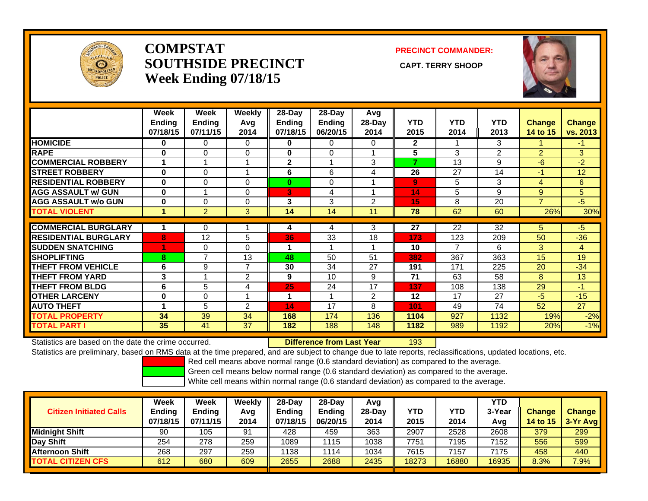

## **COMPSTATSOUTHSIDE PRECINCT** CAPT. TERRY SHOOP **Week Ending 07/18/15**

**PRECINCT COMMANDER:**



|                             | Week<br><b>Ending</b><br>07/18/15 | Week<br><b>Ending</b><br>07/11/15 | Weekly<br>Avg<br>2014 | $28$ -Day<br><b>Endina</b><br>07/18/15 | $28$ -Day<br><b>Ending</b><br>06/20/15 | Avg<br>28-Day<br>2014 | <b>YTD</b><br>2015 | <b>YTD</b><br>2014 | <b>YTD</b><br>2013 | <b>Change</b><br>14 to 15 | <b>Change</b><br>vs. 2013 |
|-----------------------------|-----------------------------------|-----------------------------------|-----------------------|----------------------------------------|----------------------------------------|-----------------------|--------------------|--------------------|--------------------|---------------------------|---------------------------|
| <b>HOMICIDE</b>             | $\bf{0}$                          | 0                                 | 0                     | 0                                      | 0                                      | 0                     | $\mathbf{2}$       | 1                  | 3                  |                           | -1                        |
| RAPE                        | $\bf{0}$                          | $\Omega$                          | $\Omega$              | $\bf{0}$                               | 0                                      |                       | 5                  | 3                  | 2                  | $\overline{2}$            | 3                         |
| <b>COMMERCIAL ROBBERY</b>   |                                   |                                   |                       | $\mathbf{2}$                           |                                        | 3                     | 7                  | 13                 | 9                  | -6                        | $-2$                      |
| <b>STREET ROBBERY</b>       | $\bf{0}$                          | $\Omega$                          |                       | 6                                      | 6                                      | 4                     | 26                 | 27                 | 14                 | -1                        | 12                        |
| <b>RESIDENTIAL ROBBERY</b>  | $\bf{0}$                          | $\Omega$                          | $\Omega$              | $\bf{0}$                               | 0                                      |                       | 9                  | 5                  | 3                  | 4                         | 6                         |
| <b>AGG ASSAULT w/ GUN</b>   | 0                                 | 4                                 | 0                     | 3                                      | 4                                      |                       | 14                 | 5                  | 9                  | 9                         | 5                         |
| <b>AGG ASSAULT w/o GUN</b>  | $\bf{0}$                          | $\Omega$                          | $\Omega$              | 3                                      | 3                                      | 2                     | 15                 | 8                  | 20                 | $\overline{7}$            | $-5$                      |
| <b>TOTAL VIOLENT</b>        | 1                                 | $\overline{2}$                    | 3                     | 14                                     | 14                                     | 11                    | 78                 | 62                 | 60                 | 26%                       | 30%                       |
|                             |                                   |                                   |                       |                                        |                                        |                       |                    |                    |                    |                           |                           |
| <b>COMMERCIAL BURGLARY</b>  |                                   | $\Omega$                          |                       | 4                                      | 4                                      | 3                     | 27                 | 22                 | 32                 | 5.                        | $-5$                      |
| <b>RESIDENTIAL BURGLARY</b> | 8                                 | 12                                | 5                     | 36                                     | 33                                     | 18                    | 173                | 123                | 209                | 50                        | $-36$                     |
| <b>ISUDDEN SNATCHING</b>    |                                   | 0                                 | $\Omega$              | 1                                      | 4                                      |                       | 10                 | $\overline{7}$     | 6                  | 3                         | 4                         |
| <b>SHOPLIFTING</b>          | 8                                 | $\overline{7}$                    | 13                    | 48                                     | 50                                     | 51                    | 382                | 367                | 363                | 15                        | 19                        |
| <b>THEFT FROM VEHICLE</b>   | 6                                 | 9                                 | $\overline{ }$        | 30                                     | 34                                     | 27                    | 191                | 171                | 225                | 20                        | $-34$                     |
| <b>THEFT FROM YARD</b>      | 3                                 |                                   | 2                     | 9                                      | 10                                     | 9                     | 71                 | 63                 | 58                 | 8                         | 13                        |
| <b>THEFT FROM BLDG</b>      | 6                                 | 5                                 | 4                     | 25                                     | 24                                     | 17                    | 137                | 108                | 138                | 29                        | $-1$                      |
| <b>IOTHER LARCENY</b>       | 0                                 | 0                                 |                       | 1                                      |                                        | $\overline{2}$        | 12                 | 17                 | 27                 | $-5$                      | $-15$                     |
| <b>AUTO THEFT</b>           | 1                                 | 5                                 | 2                     | 14                                     | 17                                     | 8                     | 101                | 49                 | 74                 | 52                        | 27                        |
| <b>TOTAL PROPERTY</b>       | 34                                | 39                                | 34                    | 168                                    | 174                                    | 136                   | 1104               | 927                | 1132               | 19%                       | $-2%$                     |
| <b>TOTAL PART I</b>         | 35                                | 41                                | 37                    | 182                                    | 188                                    | 148                   | 1182               | 989                | 1192               | 20%                       | $-1%$                     |

Statistics are based on the date the crime occurred. **Difference from Last Year** 

r 193

Statistics are preliminary, based on RMS data at the time prepared, and are subject to change due to late reports, reclassifications, updated locations, etc.

Red cell means above normal range (0.6 standard deviation) as compared to the average.

Green cell means below normal range (0.6 standard deviation) as compared to the average.

| <b>Citizen Initiated Calls</b> | Week<br><b>Ending</b><br>07/18/15 | Week<br><b>Ending</b><br>07/11/15 | Weekly<br>Avg<br>2014 | $28-Dav$<br>Endina<br>07/18/15 | $28-Dav$<br><b>Ending</b><br>06/20/15 | Avg<br>$28-Day$<br>2014 | <b>YTD</b><br>2015 | YTD<br>2014 | YTD<br>3-Year<br>Avg | <b>Change</b><br>14 to $15$ | <b>Change</b><br>3-Yr Avg |
|--------------------------------|-----------------------------------|-----------------------------------|-----------------------|--------------------------------|---------------------------------------|-------------------------|--------------------|-------------|----------------------|-----------------------------|---------------------------|
| Midnight Shift                 | 90                                | 105                               | 91                    | 428                            | 459                                   | 363                     | 2907               | 2528        | 2608                 | 379                         | 299                       |
| Day Shift                      | 254                               | 278                               | 259                   | 1089                           | 115                                   | 1038                    | 7751               | 7195        | 7152                 | 556                         | 599                       |
| <b>Afternoon Shift</b>         | 268                               | 297                               | 259                   | 1138                           | 114                                   | 1034                    | 7615               | 7157        | 7175                 | 458                         | 440                       |
| <b>TOTAL CITIZEN CFS</b>       | 612                               | 680                               | 609                   | 2655                           | 2688                                  | 2435                    | 18273              | 16880       | 16935                | 8.3%                        | 7.9%                      |